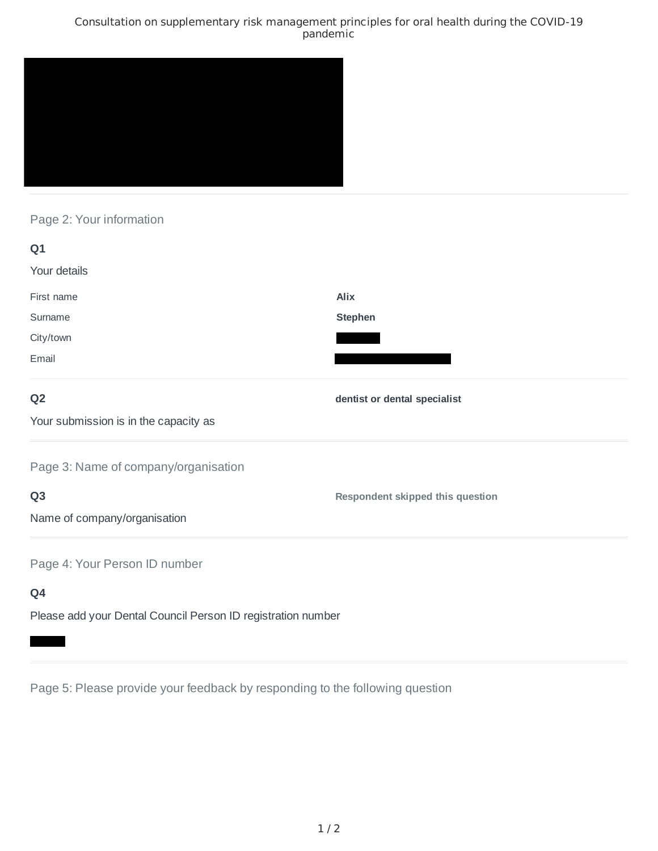### Consultation on supplementary risk management principles for oral health during the COVID-19 pandemic



## Page 2: Your information

| Q1                                                           |                                         |
|--------------------------------------------------------------|-----------------------------------------|
| Your details                                                 |                                         |
| First name                                                   | <b>Alix</b>                             |
| Surname                                                      | <b>Stephen</b>                          |
| City/town                                                    |                                         |
| Email                                                        |                                         |
| Q <sub>2</sub>                                               | dentist or dental specialist            |
| Your submission is in the capacity as                        |                                         |
| Page 3: Name of company/organisation                         |                                         |
| Q <sub>3</sub>                                               | <b>Respondent skipped this question</b> |
| Name of company/organisation                                 |                                         |
| Page 4: Your Person ID number                                |                                         |
| Q4                                                           |                                         |
| Please add your Dental Council Person ID registration number |                                         |

Page 5: Please provide your feedback by responding to the following question